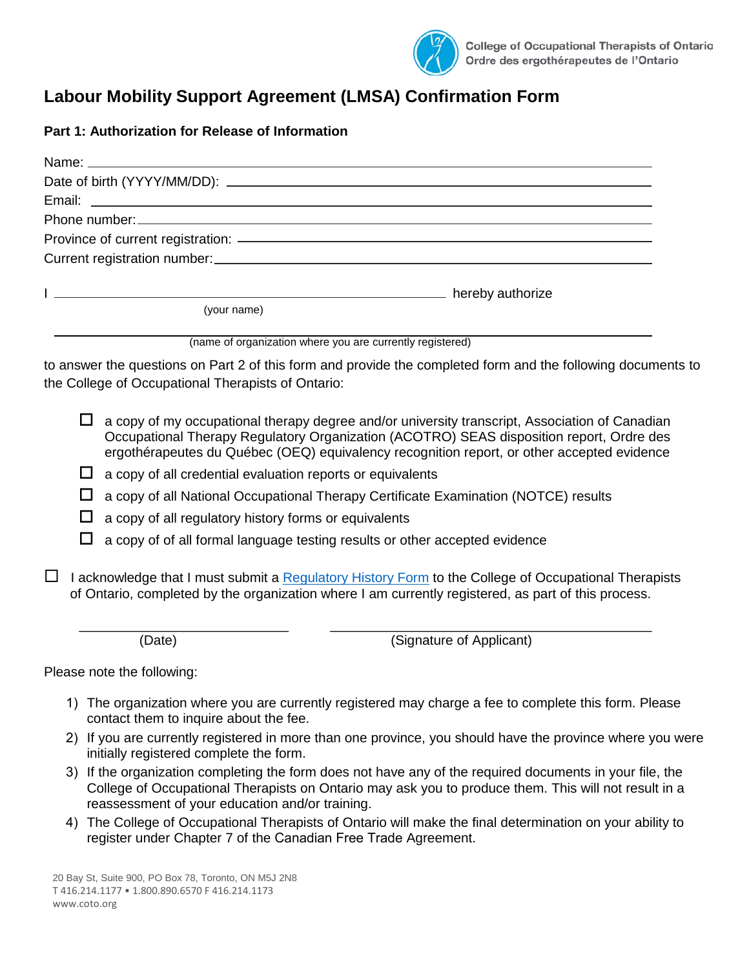

## **Labour Mobility Support Agreement (LMSA) Confirmation Form**

## **Part 1: Authorization for Release of Information**

|   |                                                       | hereby authorize and the contract of the contract of the contract of the contract of the contract of the contract of the contract of the contract of the contract of the contract of the contract of the contract of the contr                                                           |
|---|-------------------------------------------------------|------------------------------------------------------------------------------------------------------------------------------------------------------------------------------------------------------------------------------------------------------------------------------------------|
|   | (your name)                                           |                                                                                                                                                                                                                                                                                          |
|   |                                                       | (name of organization where you are currently registered)                                                                                                                                                                                                                                |
|   | the College of Occupational Therapists of Ontario:    | to answer the questions on Part 2 of this form and provide the completed form and the following documents to                                                                                                                                                                             |
| ப |                                                       | a copy of my occupational therapy degree and/or university transcript, Association of Canadian<br>Occupational Therapy Regulatory Organization (ACOTRO) SEAS disposition report, Ordre des<br>ergothérapeutes du Québec (OEQ) equivalency recognition report, or other accepted evidence |
| ப |                                                       | a copy of all credential evaluation reports or equivalents                                                                                                                                                                                                                               |
| ப |                                                       | a copy of all National Occupational Therapy Certificate Examination (NOTCE) results                                                                                                                                                                                                      |
|   | a copy of all regulatory history forms or equivalents |                                                                                                                                                                                                                                                                                          |
|   |                                                       | a copy of of all formal language testing results or other accepted evidence                                                                                                                                                                                                              |
|   |                                                       | I acknowledge that I must submit a Regulatory History Form to the College of Occupational Therapists<br>of Ontario, completed by the organization where I am currently registered, as part of this process.                                                                              |
|   | (Date)                                                | (Signature of Applicant)                                                                                                                                                                                                                                                                 |

Please note the following:

- 1) The organization where you are currently registered may charge a fee to complete this form. Please contact them to inquire about the fee.
- 2) If you are currently registered in more than one province, you should have the province where you were initially registered complete the form.
- 3) If the organization completing the form does not have any of the required documents in your file, the College of Occupational Therapists on Ontario may ask you to produce them. This will not result in a reassessment of your education and/or training.
- 4) The College of Occupational Therapists of Ontario will make the final determination on your ability to register under Chapter 7 of the Canadian Free Trade Agreement.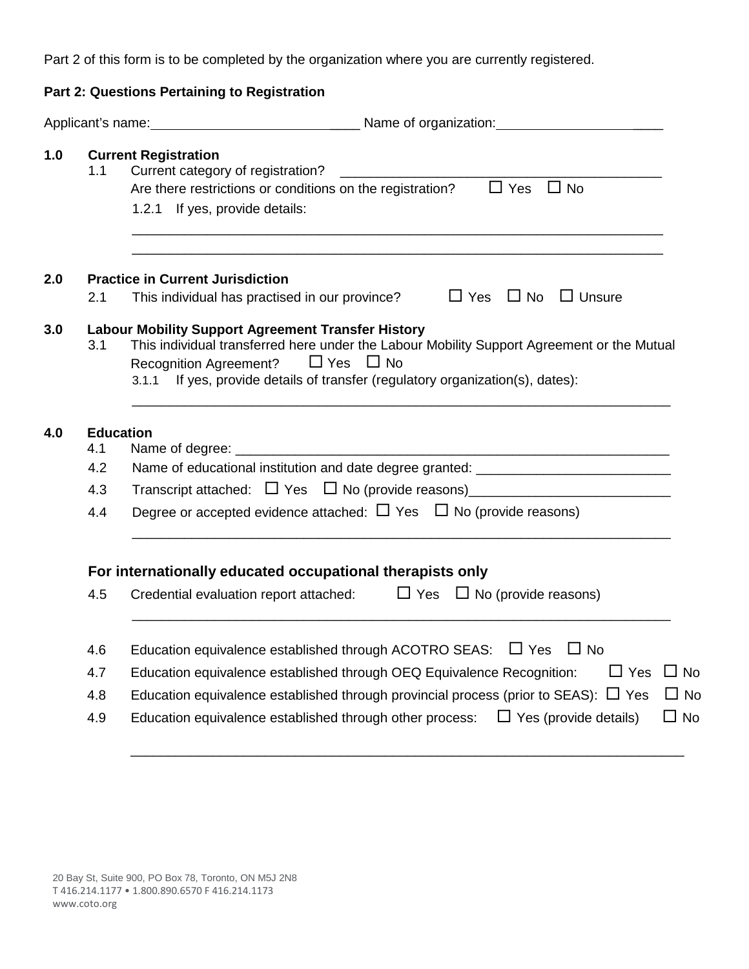Part 2 of this form is to be completed by the organization where you are currently registered.

|     |     | Part 2: Questions Pertaining to Registration                                                                                                                                                                                                                                             |
|-----|-----|------------------------------------------------------------------------------------------------------------------------------------------------------------------------------------------------------------------------------------------------------------------------------------------|
|     |     | Applicant's name: 1990 Mame of organization:                                                                                                                                                                                                                                             |
| 1.0 | 1.1 | <b>Current Registration</b><br>Are there restrictions or conditions on the registration? $\Box$ Yes<br>$\Box$ No<br>1.2.1 If yes, provide details:                                                                                                                                       |
| 2.0 |     | <b>Practice in Current Jurisdiction</b>                                                                                                                                                                                                                                                  |
|     | 2.1 | This individual has practised in our province? $\Box$ Yes $\Box$ No $\Box$ Unsure                                                                                                                                                                                                        |
| 3.0 | 3.1 | <b>Labour Mobility Support Agreement Transfer History</b><br>This individual transferred here under the Labour Mobility Support Agreement or the Mutual<br>Recognition Agreement? $\Box$ Yes $\Box$ No<br>3.1.1 If yes, provide details of transfer (regulatory organization(s), dates): |
| 4.0 |     | <b>Education</b>                                                                                                                                                                                                                                                                         |
|     | 4.1 |                                                                                                                                                                                                                                                                                          |
|     | 4.2 | Name of educational institution and date degree granted: _______________________                                                                                                                                                                                                         |
|     | 4.3 | Transcript attached: $\Box$ Yes $\Box$ No (provide reasons) _________________________                                                                                                                                                                                                    |
|     | 4.4 | Degree or accepted evidence attached: $\Box$ Yes $\Box$ No (provide reasons)                                                                                                                                                                                                             |
|     |     | For internationally educated occupational therapists only                                                                                                                                                                                                                                |
|     | 4.5 | Credential evaluation report attached: $\Box$ Yes $\Box$ No (provide reasons)                                                                                                                                                                                                            |
|     | 4.6 | Education equivalence established through ACOTRO SEAS:<br>$\Box$ Yes<br>$\Box$ No                                                                                                                                                                                                        |
|     | 4.7 | Education equivalence established through OEQ Equivalence Recognition:<br>$\Box$ Yes<br>$\Box$ No                                                                                                                                                                                        |
|     | 4.8 | Education equivalence established through provincial process (prior to SEAS): $\Box$ Yes<br>$\Box$ No                                                                                                                                                                                    |
|     | 4.9 | Education equivalence established through other process:<br>$\Box$ Yes (provide details)<br>$\Box$ No                                                                                                                                                                                    |

\_\_\_\_\_\_\_\_\_\_\_\_\_\_\_\_\_\_\_\_\_\_\_\_\_\_\_\_\_\_\_\_\_\_\_\_\_\_\_\_\_\_\_\_\_\_\_\_\_\_\_\_\_\_\_\_\_\_\_\_\_\_\_\_\_\_\_\_\_\_\_\_\_\_